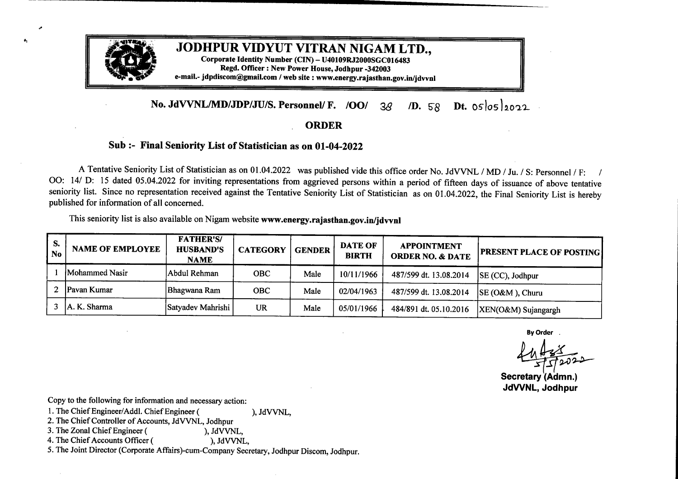

## JODHPUR VIDYUT VITRAN NIGAM LTD.,

Corporate Identity Number (CIN) - U40109RJ2000SGC016483 Regd. Officer: New Power House,Jodhpur-342003 e-mail.- jdpdiscom@gmail.com / web site : www.energy.rajasthan.gov.in/jdvvnl

## **No. JdVVNL/MD/JDP/JU/S. Personnel/ F. /OO/ 38** */D.* 58 Dt. 05 05 2022

## **ORDER**

## **Sub:-** Final Seniority List of Statistician as on 01-04-2022

<sup>A</sup> Tentative Seniority List of Statistician as on 01.04.2022 was published vide this office order No. JdVVNL /MD/Ju./ S: Personnel/ F: *<sup>I</sup>* 00: 14/ D: <sup>15</sup> dated 05.04.2022 for inviting representations from aggrieved persons within <sup>a</sup> period of fifteen days of issuance of above tentative seniority list. Since no representation received against the Tentative Seniority List of Statistician as on 01.04.2022, the Final Seniority List is hereby published for information of all concerned.

This seniority list is also available on Nigam website **www.energy.rajasthan.gov.in/jdvvnl**

| S.<br><b>No</b> | <b>NAME OF EMPLOYEE</b> | <b>FATHER'S/</b><br><b>HUSBAND'S</b><br><b>NAME</b> | <b>CATEGORY</b> | <b>GENDER</b> | <b>DATE OF</b><br><b>BIRTH</b> | <b>APPOINTMENT</b><br><b>ORDER NO. &amp; DATE</b> | <b>PRESENT PLACE OF POSTING</b>                         |
|-----------------|-------------------------|-----------------------------------------------------|-----------------|---------------|--------------------------------|---------------------------------------------------|---------------------------------------------------------|
|                 | Mohammed Nasir          | Abdul Rehman                                        | <b>OBC</b>      | Male          | 10/11/1966                     | 487/599 dt. 13.08.2014                            | SE (CC), Jodhpur                                        |
| 2               | Pavan Kumar             | Bhagwana Ram                                        | <b>OBC</b>      | Male          | 02/04/1963                     | 487/599 dt. 13.08.2014                            | SE (O&M), Churu                                         |
| 3               | A. K. Sharma            | Satyadev Mahrishi                                   | <b>UR</b>       | Male          | 05/01/1966                     | 484/891 dt. 05.10.2016                            | XEN(O&M) Sujangargh                                     |
|                 |                         |                                                     |                 |               |                                |                                                   | <b>By Order</b><br>Secretary (Admn.)<br>JdVVNL, Jodhpur |

By Order<br>By Order<br>Ly Prince Secretary (Admn.)  $\frac{27}{\sqrt{202}}$ 

**JdVVNL, Jodhpur**

Copy to the following for information and necessary action:

- 1. The Chief Engineer/Addl. Chief Engineer ( ), JdVVNL,
- 2. The Chief Controller of Accounts, JdVVNL, Jodhpur<br>3. The Zonal Chief Engineer (), JdVVNL,

3. The Zonal ChiefEngineer ( ), JdVVNL, 4. The Chief Accounts Officer (

5. The Joint Director (Corporate Affairs)-cum-Company Secretary, Jodhpur Discom, Jodhpur.